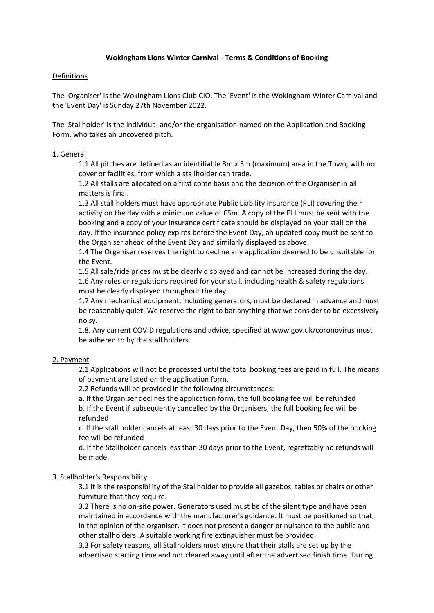# **Wokingham Lions Winter Carnival - Terms & Conditions of Booking**

### Definitions

The 'Organiser' is the Wokingham Lions Club CIO. The 'Event' is the Wokingham Winter Carnival and the 'Event Day' is Sunday 27th November 2022.

The 'Stallholder' is the individual and/or the organisation named on the Application and Booking Form, who takes an uncovered pitch.

### 1. General

1.1 All pitches are defined as an identifiable 3m x 3m (maximum) area in the Town, with no cover or facilities, from which a stallholder can trade.

1.2 All stalls are allocated on a first come basis and the decision of the Organiser in all matters is final.

1.3 All stall holders must have appropriate Public Liability Insurance (PLI) covering their activity on the day with a minimum value of £5m. A copy of the PLI must be sent with the booking and a copy of your insurance certificate should be displayed on your stall on the day. If the insurance policy expires before the Event Day, an updated copy must be sent to the Organiser ahead of the Event Day and similarly displayed as above.

1.4 The Organiser reserves the right to decline any application deemed to be unsuitable for the Event.

1.5 All sale/ride prices must be clearly displayed and cannot be increased during the day. 1.6 Any rules or regulations required for your stall, including health & safety regulations must be clearly displayed throughout the day.

1.7 Any mechanical equipment, including generators, must be declared in advance and must be reasonably quiet. We reserve the right to bar anything that we consider to be excessively noisy.

1.8. Any current COVID regulations and advice, specified at www.gov.uk/coronovirus must be adhered to by the stall holders.

# 2. Payment

2.1 Applications will not be processed until the total booking fees are paid in full. The means of payment are listed on the application form.

2.2 Refunds will be provided in the following circumstances:

a. If the Organiser declines the application form, the full booking fee will be refunded b. If the Event if subsequently cancelled by the Organisers, the full booking fee will be refunded

c. If the stall holder cancels at least 30 days prior to the Event Day, then 50% of the booking fee will be refunded

d. If the Stallholder cancels less than 30 days prior to the Event, regrettably no refunds will be made.

# 3. Stallholder's Responsibility

3.1 It is the responsibility of the Stallholder to provide all gazebos, tables or chairs or other furniture that they require.

3.2 There is no on-site power. Generators used must be of the silent type and have been maintained in accordance with the manufacturer's guidance. It must be positioned so that, in the opinion of the organiser, it does not present a danger or nuisance to the public and other stallholders. A suitable working fire extinguisher must be provided.

3.3 For safety reasons, all Stallholders must ensure that their stalls are set up by the advertised starting time and not cleared away until after the advertised finish time. During